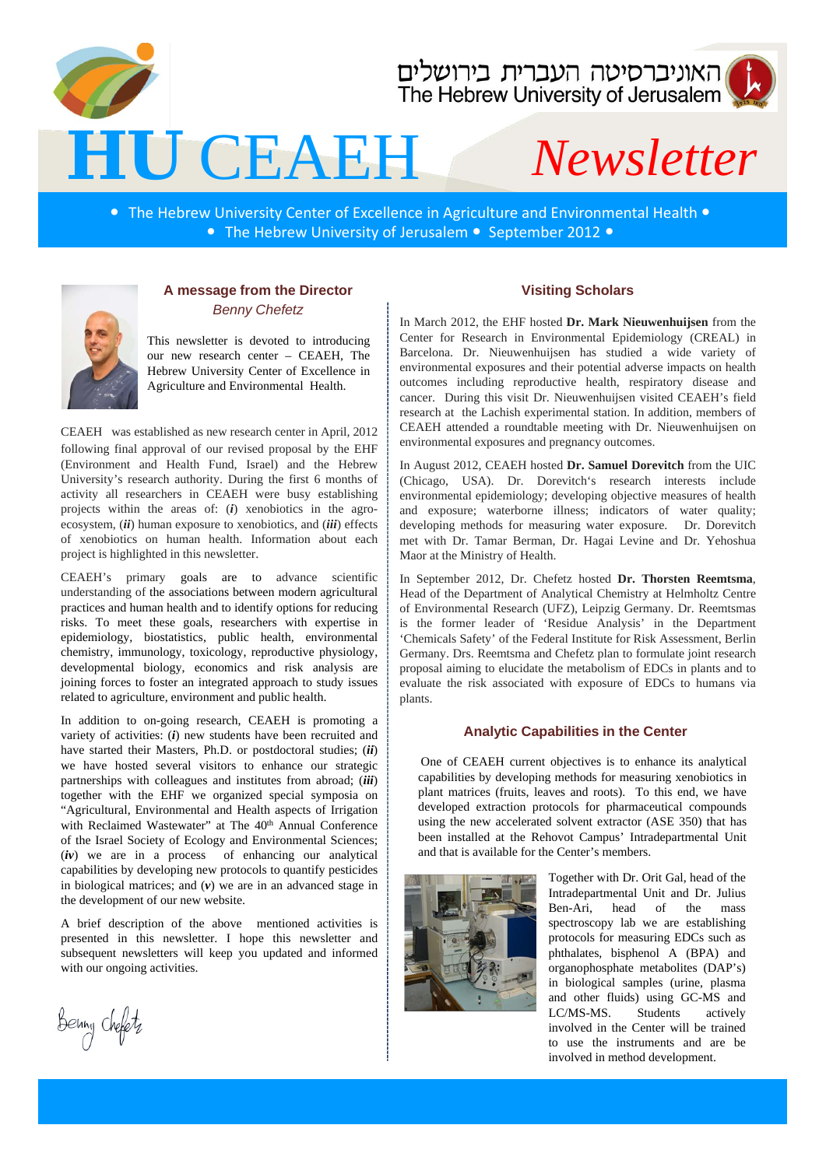

## האוניברסיטה העברית בירושלים<br>The Hebrew University of Jerusalem

# **HU** CEAEH *Newsletter*

• The Hebrew University Center of Excellence in Agriculture and Environmental Health • • The Hebrew University of Jerusalem • September 2012 •



#### **A message from the Director** *Benny Chefetz*

This newsletter is devoted to introducing our new research center – CEAEH, The Hebrew University Center of Excellence in Agriculture and Environmental Health.

CEAEH was established as new research center in April, 2012 following final approval of our revised proposal by the EHF (Environment and Health Fund, Israel) and the Hebrew University's research authority. During the first 6 months of activity all researchers in CEAEH were busy establishing projects within the areas of: (*i*) xenobiotics in the agroecosystem, (*ii*) human exposure to xenobiotics, and (*iii*) effects of xenobiotics on human health. Information about each project is highlighted in this newsletter.

CEAEH's primary goals are to advance scientific understanding of the associations between modern agricultural practices and human health and to identify options for reducing risks. To meet these goals, researchers with expertise in epidemiology, biostatistics, public health, environmental chemistry, immunology, toxicology, reproductive physiology, developmental biology, economics and risk analysis are joining forces to foster an integrated approach to study issues related to agriculture, environment and public health.

In addition to on-going research, CEAEH is promoting a variety of activities: (*i*) new students have been recruited and have started their Masters, Ph.D. or postdoctoral studies; (*ii*) we have hosted several visitors to enhance our strategic partnerships with colleagues and institutes from abroad; (*iii*) together with the EHF we organized special symposia on "Agricultural, Environmental and Health aspects of Irrigation with Reclaimed Wastewater" at The 40th Annual Conference of the Israel Society of Ecology and Environmental Sciences; (*iv*) we are in a process of enhancing our analytical capabilities by developing new protocols to quantify pesticides in biological matrices; and  $(v)$  we are in an advanced stage in the development of our new website.

A brief description of the above mentioned activities is presented in this newsletter. I hope this newsletter and subsequent newsletters will keep you updated and informed with our ongoing activities.

Benny chefetz

#### **Visiting Scholars**

In March 2012, the EHF hosted **Dr. Mark Nieuwenhuijsen** from the Center for Research in Environmental Epidemiology (CREAL) in Barcelona. Dr. Nieuwenhuijsen has studied a wide variety of environmental exposures and their potential adverse impacts on health outcomes including reproductive health, respiratory disease and cancer. During this visit Dr. Nieuwenhuijsen visited CEAEH's field research at the Lachish experimental station. In addition, members of CEAEH attended a roundtable meeting with Dr. Nieuwenhuijsen on environmental exposures and pregnancy outcomes.

In August 2012, CEAEH hosted **Dr. Samuel Dorevitch** from the UIC (Chicago, USA). Dr. Dorevitch's research interests include environmental epidemiology; developing objective measures of health and exposure; waterborne illness; indicators of water quality; developing methods for measuring water exposure. Dr. Dorevitch met with Dr. Tamar Berman, Dr. Hagai Levine and Dr. Yehoshua Maor at the Ministry of Health.

In September 2012, Dr. Chefetz hosted **Dr. Thorsten Reemtsma**, Head of the Department of Analytical Chemistry at Helmholtz Centre of Environmental Research (UFZ), Leipzig Germany. Dr. Reemtsmas is the former leader of 'Residue Analysis' in the Department 'Chemicals Safety' of the Federal Institute for Risk Assessment, Berlin Germany. Drs. Reemtsma and Chefetz plan to formulate joint research proposal aiming to elucidate the metabolism of EDCs in plants and to evaluate the risk associated with exposure of EDCs to humans via plants.

#### **Analytic Capabilities in the Center**

One of CEAEH current objectives is to enhance its analytical capabilities by developing methods for measuring xenobiotics in plant matrices (fruits, leaves and roots). To this end, we have developed extraction protocols for pharmaceutical compounds using the new accelerated solvent extractor (ASE 350) that has been installed at the Rehovot Campus' Intradepartmental Unit and that is available for the Center's members.



Together with Dr. Orit Gal, head of the Intradepartmental Unit and Dr. Julius Ben-Ari, head of the mass spectroscopy lab we are establishing protocols for measuring EDCs such as phthalates, bisphenol A (BPA) and organophosphate metabolites (DAP's) in biological samples (urine, plasma and other fluids) using GC-MS and LC/MS-MS. Students actively involved in the Center will be trained to use the instruments and are be involved in method development.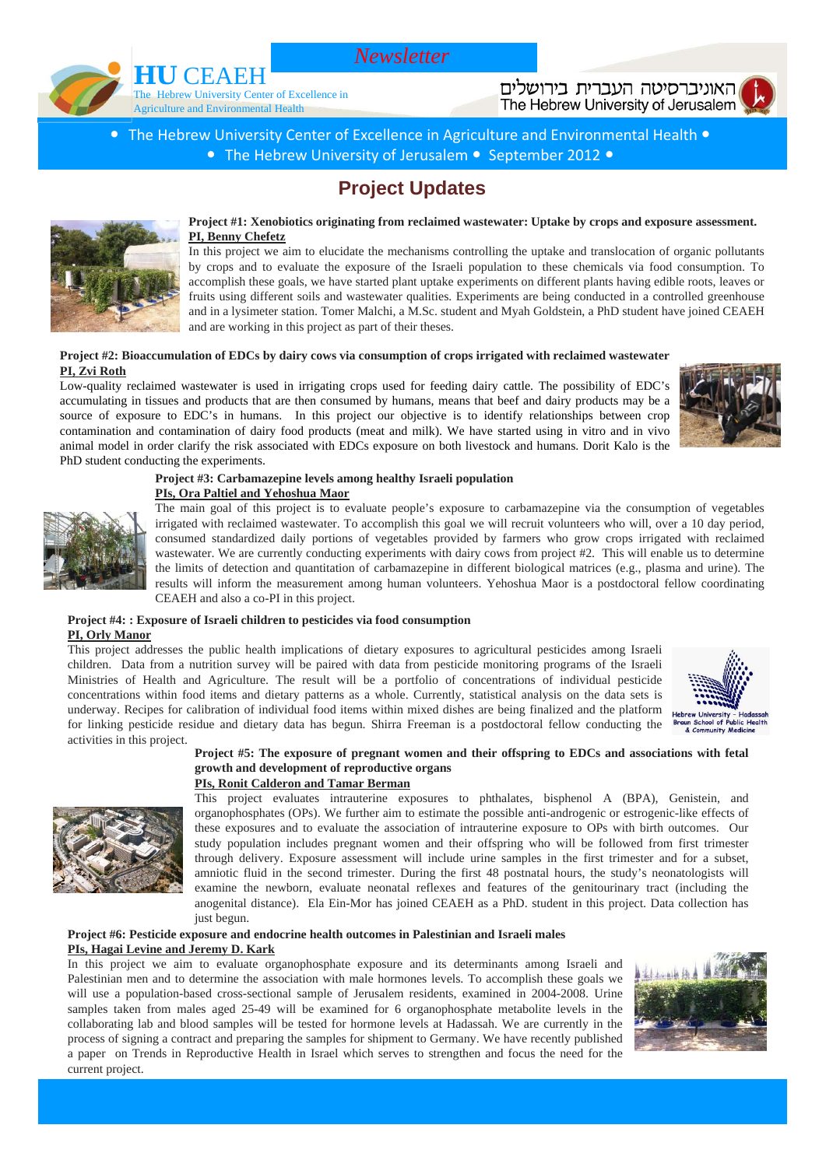*Newsletter*



האוניברסיטה העברית בירושלים The Hebrew University of Jerusalem

The Hebrew University Center of Excellence in Agriculture and Environmental Health  $\bullet$ • The Hebrew University of Jerusalem • September 2012 •

### **Project Updates**



**Project #1: Xenobiotics originating from reclaimed wastewater: Uptake by crops and exposure assessment. PI, Benny Chefetz**

In this project we aim to elucidate the mechanisms controlling the uptake and translocation of organic pollutants by crops and to evaluate the exposure of the Israeli population to these chemicals via food consumption. To accomplish these goals, we have started plant uptake experiments on different plants having edible roots, leaves or fruits using different soils and wastewater qualities. Experiments are being conducted in a controlled greenhouse and in a lysimeter station. Tomer Malchi, a M.Sc. student and Myah Goldstein, a PhD student have joined CEAEH and are working in this project as part of their theses.

#### **Project #2: Bioaccumulation of EDCs by dairy cows via consumption of crops irrigated with reclaimed wastewater PI, Zvi Roth**

Low-quality reclaimed wastewater is used in irrigating crops used for feeding dairy cattle. The possibility of EDC's accumulating in tissues and products that are then consumed by humans, means that beef and dairy products may be a source of exposure to EDC's in humans. In this project our objective is to identify relationships between crop contamination and contamination of dairy food products (meat and milk). We have started using in vitro and in vivo animal model in order clarify the risk associated with EDCs exposure on both livestock and humans. Dorit Kalo is the PhD student conducting the experiments.



**Project #3: Carbamazepine levels among healthy Israeli population PIs, Ora Paltiel and Yehoshua Maor**

The main goal of this project is to evaluate people's exposure to carbamazepine via the consumption of vegetables irrigated with reclaimed wastewater. To accomplish this goal we will recruit volunteers who will, over a 10 day period, consumed standardized daily portions of vegetables provided by farmers who grow crops irrigated with reclaimed wastewater. We are currently conducting experiments with dairy cows from project #2. This will enable us to determine the limits of detection and quantitation of carbamazepine in different biological matrices (e.g., plasma and urine). The results will inform the measurement among human volunteers. Yehoshua Maor is a postdoctoral fellow coordinating CEAEH and also a co-PI in this project.

#### **Project #4: : Exposure of Israeli children to pesticides via food consumption PI, Orly Manor**

This project addresses the public health implications of dietary exposures to agricultural pesticides among Israeli children. Data from a nutrition survey will be paired with data from pesticide monitoring programs of the Israeli Ministries of Health and Agriculture. The result will be a portfolio of concentrations of individual pesticide concentrations within food items and dietary patterns as a whole. Currently, statistical analysis on the data sets is underway. Recipes for calibration of individual food items within mixed dishes are being finalized and the platform for linking pesticide residue and dietary data has begun. Shirra Freeman is a postdoctoral fellow conducting the activities in this project.



#### **Project #5: The exposure of pregnant women and their offspring to EDCs and associations with fetal growth and development of reproductive organs**

#### **PIs, Ronit Calderon and Tamar Berman**

This project evaluates intrauterine exposures to phthalates, bisphenol A (BPA), Genistein, and organophosphates (OPs). We further aim to estimate the possible anti-androgenic or estrogenic-like effects of these exposures and to evaluate the association of intrauterine exposure to OPs with birth outcomes. Our study population includes pregnant women and their offspring who will be followed from first trimester through delivery. Exposure assessment will include urine samples in the first trimester and for a subset, amniotic fluid in the second trimester. During the first 48 postnatal hours, the study's neonatologists will examine the newborn, evaluate neonatal reflexes and features of the genitourinary tract (including the anogenital distance). Ela Ein-Mor has joined CEAEH as a PhD. student in this project. Data collection has just begun.

#### **Project #6: Pesticide exposure and endocrine health outcomes in Palestinian and Israeli males PIs, Hagai Levine and Jeremy D. Kark**

In this project we aim to evaluate organophosphate exposure and its determinants among Israeli and Palestinian men and to determine the association with male hormones levels. To accomplish these goals we will use a population-based cross-sectional sample of Jerusalem residents, examined in 2004-2008. Urine samples taken from males aged 25-49 will be examined for 6 organophosphate metabolite levels in the collaborating lab and blood samples will be tested for hormone levels at Hadassah. We are currently in the process of signing a contract and preparing the samples for shipment to Germany. We have recently published a paper on Trends in Reproductive Health in Israel which serves to strengthen and focus the need for the current project.